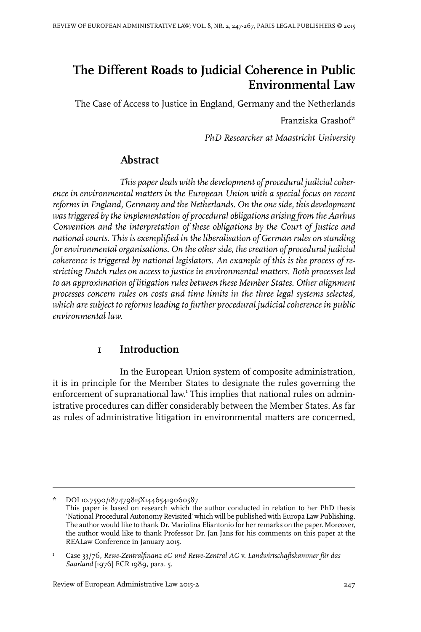# **The Different Roads to Judicial Coherence in Public Environmental Law**

The Case of Access to Justice in England, Germany and the Netherlands

Franziska Grashof\*

*PhD Researcher at Maastricht University*

### **Abstract**

*This paper deals with the development of procedural judicial coherence in environmental matters in the European Union with a special focus on recent reforms in England, Germany and the Netherlands. On the one side, this development was triggered by theimplementation of procedural obligations arising from the Aarhus Convention and the interpretation of these obligations by the Court of Justice and national courts. This is exemplified in the liberalisation of German rules on standing for environmental organisations. On the other side, the creation of procedural judicial coherence is triggered by national legislators. An example of this is the process of restricting Dutch rules on access to justice in environmental matters. Both processes led to an approximation of litigation rules between these Member States. Other alignment processes concern rules on costs and time limits in the three legal systems selected, which are subject to reforms leading to further procedural judicial coherence in public environmental law.*

# **1 Introduction**

In the European Union system of composite administration, it is in principle for the Member States to designate the rules governing the enforcement of supranational law.<sup>1</sup> This implies that national rules on administrative procedures can differ considerably between the Member States. As far as rules of administrative litigation in environmental matters are concerned,

<sup>\*</sup> DOI10.7590/187479815X14465419060587

This paper is based on research which the author conducted in relation to her PhD thesis 'National Procedural Autonomy Revisited' which will be published with Europa Law Publishing. The author would like to thank Dr. Mariolina Eliantonio for her remarks on the paper. Moreover, the author would like to thank Professor Dr. Jan Jans for his comments on this paper at the REALaw Conference in January 2015.

Case 33/76, *Rewe-Zentralfinanz eG und Rewe-Zentral AG* v. *Landwirtschaftskammer für das Saarland* [1976] ECR 1989, para. 5. 1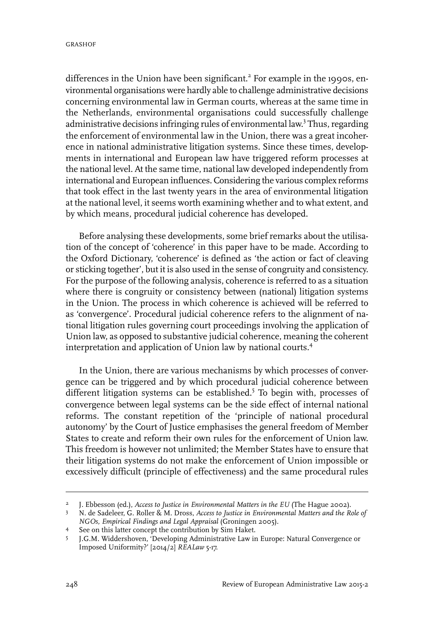differences in the Union have been significant.<sup>2</sup> For example in the 1990s, environmental organisations were hardly able to challenge administrative decisions concerning environmental law in German courts, whereas at the same time in the Netherlands, environmental organisations could successfully challenge administrative decisions infringing rules of environmental law.<sup>3</sup> Thus, regarding the enforcement of environmental law in the Union, there was a great incoherence in national administrative litigation systems. Since these times, developments in international and European law have triggered reform processes at the national level. At the same time, national law developed independently from international and European influences. Considering the various complex reforms that took effect in the last twenty years in the area of environmental litigation at the national level, it seems worth examining whether and to what extent, and by which means, procedural judicial coherence has developed.

Before analysing these developments, some brief remarks about the utilisation of the concept of 'coherence' in this paper have to be made. According to the Oxford Dictionary, 'coherence' is defined as 'the action or fact of cleaving or sticking together', but it is also used in the sense of congruity and consistency. For the purpose of the following analysis, coherence is referred to as a situation where there is congruity or consistency between (national) litigation systems in the Union. The process in which coherence is achieved will be referred to as 'convergence'. Procedural judicial coherence refers to the alignment of national litigation rules governing court proceedings involving the application of Union law, as opposed to substantive judicial coherence, meaning the coherent interpretation and application of Union law by national courts.<sup>4</sup>

In the Union, there are various mechanisms by which processes of convergence can be triggered and by which procedural judicial coherence between different litigation systems can be established.<sup>5</sup> To begin with, processes of convergence between legal systems can be the side effect of internal national reforms. The constant repetition of the 'principle of national procedural autonomy' by the Court of Justice emphasises the general freedom of Member States to create and reform their own rules for the enforcement of Union law. This freedom is however not unlimited; the Member States have to ensure that their litigation systems do not make the enforcement of Union impossible or excessively difficult (principle of effectiveness) and the same procedural rules

J. Ebbesson (ed.), *Access to Justice in Environmental Matters in the EU* (The Hague 2002). <sup>2</sup>

N. de Sadeleer, G. Roller & M. Dross, *Access to Justice in Environmental Matters and the Role of NGOs, Empirical Findings and Legal Appraisal* (Groningen 2005). 3

See on this latter concept the contribution by Sim Haket. <sup>4</sup>

J.G.M. Widdershoven, 'Developing Administrative Law in Europe: Natural Convergence or Imposed Uniformity?' [2014/2] *REALaw* 5-17. 5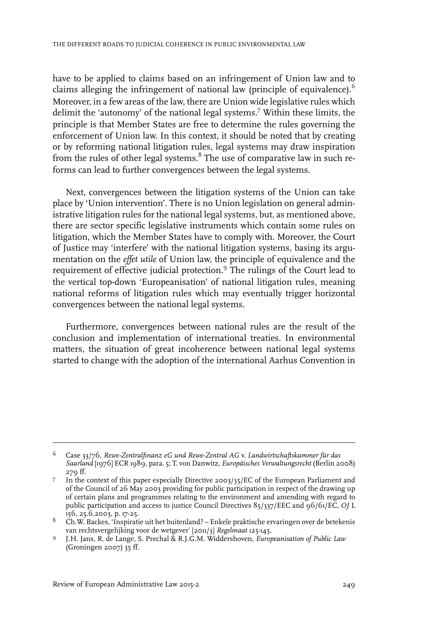have to be applied to claims based on an infringement of Union law and to claims alleging the infringement of national law (principle of equivalence).<sup>6</sup> Moreover, in a few areas of the law, there are Union wide legislative rules which delimit the 'autonomy' of the national legal systems.<sup>7</sup> Within these limits, the principle is that Member States are free to determine the rules governing the enforcement of Union law. In this context, it should be noted that by creating or by reforming national litigation rules, legal systems may draw inspiration from the rules of other legal systems. $^8$  The use of comparative law in such reforms can lead to further convergences between the legal systems.

Next, convergences between the litigation systems of the Union can take place by 'Union intervention'. There is no Union legislation on general administrative litigation rules for the national legal systems, but, as mentioned above, there are sector specific legislative instruments which contain some rules on litigation, which the Member States have to comply with. Moreover, the Court of Justice may 'interfere' with the national litigation systems, basing its argumentation on the *effet utile* of Union law, the principle of equivalence and the requirement of effective judicial protection.<sup>9</sup> The rulings of the Court lead to the vertical top-down 'Europeanisation' of national litigation rules, meaning national reforms of litigation rules which may eventually trigger horizontal convergences between the national legal systems.

Furthermore, convergences between national rules are the result of the conclusion and implementation of international treaties. In environmental matters, the situation of great incoherence between national legal systems started to change with the adoption of the international Aarhus Convention in

Case 33/76, *Rewe-Zentralfinanz eG und Rewe-Zentral AG* v. *Landwirtschaftskammer für das* 6 *Saarland* [1976] ECR 1989, para. 5; T. von Danwitz, *Europäisches Verwaltungsrecht* (Berlin 2008) 279 ff.

In the context of this paper especially Directive 2003/35/EC of the European Parliament and of the Council of  $26$  May 2003 providing for public participation in respect of the drawing up 7 of certain plans and programmes relating to the environment and amending with regard to public participation and access to justice Council Directives 85/337/EEC and 96/61/EC, *OJ* L 156, 25.6.2003, p. 17-25.

 $8$  Ch.W. Backes, 'Inspiratie uit het buitenland? – Enkele praktische ervaringen over de betekenis van rechtsvergelijking voor de wetgever' [2011/3] *Regelmaat* 125-145.

J.H. Jans, R. de Lange, S. Prechal & R.J.G.M. Widdershoven, *Europeanisation of Public Law* 9 (Groningen 2007) 35 ff.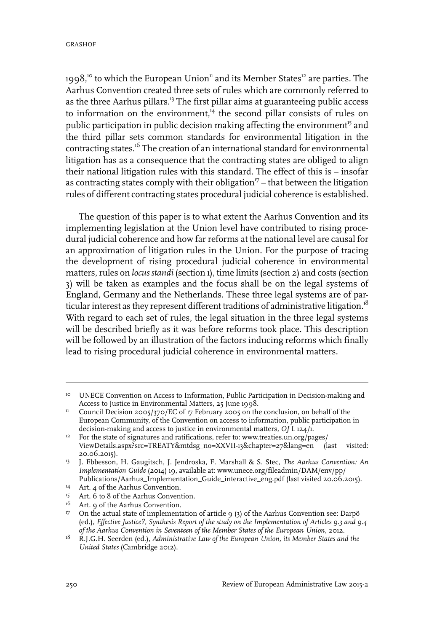$1998$ ,<sup>10</sup> to which the European Union<sup>11</sup> and its Member States<sup>12</sup> are parties. The Aarhus Convention created three sets of rules which are commonly referred to as the three Aarhus pillars.<sup>13</sup> The first pillar aims at guaranteeing public access to information on the environment, $<sup>14</sup>$  the second pillar consists of rules on</sup> public participation in public decision making affecting the environment<sup>15</sup> and the third pillar sets common standards for environmental litigation in the contracting states.<sup>16</sup> The creation of an international standard for environmental litigation has as a consequence that the contracting states are obliged to align their national litigation rules with this standard. The effect of this is – insofar as contracting states comply with their obligation<sup>17</sup> – that between the litigation rules of different contracting states procedural judicial coherence is established.

The question of this paper is to what extent the Aarhus Convention and its implementing legislation at the Union level have contributed to rising procedural judicial coherence and how far reforms at the national level are causal for an approximation of litigation rules in the Union. For the purpose of tracing the development of rising procedural judicial coherence in environmental matters, rules on *locus standi* (section 1), time limits (section 2) and costs (section 3) will be taken as examples and the focus shall be on the legal systems of England, Germany and the Netherlands. These three legal systems are of particular interest as they represent different traditions of administrative litigation.<sup>18</sup> With regard to each set of rules, the legal situation in the three legal systems will be described briefly as it was before reforms took place. This description will be followed by an illustration of the factors inducing reforms which finally lead to rising procedural judicial coherence in environmental matters.

<sup>&</sup>lt;sup>10</sup> UNECE Convention on Access to Information, Public Participation in Decision-making and Access to Justice in Environmental Matters, 25 June 1998.

<sup>&</sup>lt;sup>11</sup> Council Decision 2005/370/EC of 17 February 2005 on the conclusion, on behalf of the European Community, of the Convention on access to information, public participation in decision-making and access to justice in environmental matters, *OJ* L 124/1.

<sup>&</sup>lt;sup>12</sup> For the state of signatures and ratifications, refer to: www.treaties.un.org/pages/ ViewDetails.aspx?src=TREATY&mtdsg\_no=XXVII-13&chapter=27&lang=en (last visited: 20.06.2015).

J. Ebbesson, H. Gaugitsch, J. Jendroska, F. Marshall & S. Stec, *The Aarhus Convention: An* 13 *Implementation Guide* (2014) 19, available at: www.unece.org/fileadmin/DAM/env/pp/ Publications/Aarhus\_Implementation\_Guide\_interactive\_eng.pdf (last visited 20.06.2015).

<sup>&</sup>lt;sup>14</sup> Art. 4 of the Aarhus Convention.

<sup>&</sup>lt;sup>15</sup> Art. 6 to 8 of the Aarhus Convention.

<sup>&</sup>lt;sup>16</sup> Art. 9 of the Aarhus Convention.

<sup>&</sup>lt;sup>17</sup> On the actual state of implementation of article 9 (3) of the Aarhus Convention see: Darpö (ed.), *Effective Justice?, Synthesis Report of the study on the Implementation of Articles 9.3 and 9.4 of the Aarhus Convention in Seventeen of the Member States of the European Union*, 2012.

R.J.G.H. Seerden (ed.), *Administrative Law of the European Union, its Member States and the* 18 *United States* (Cambridge 2012).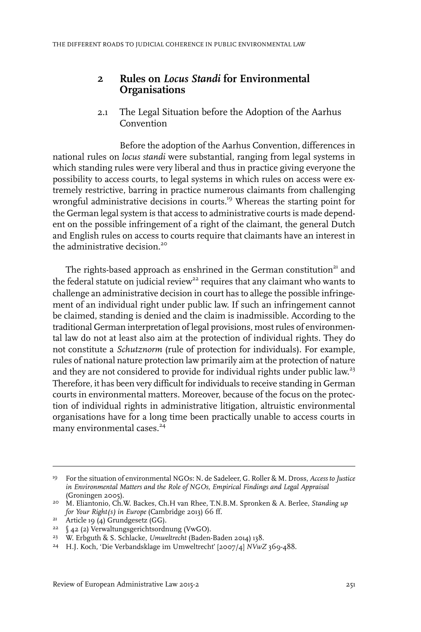### **2 Rules on** *Locus Standi* **for Environmental Organisations**

2.1 The Legal Situation before the Adoption of the Aarhus Convention

Before the adoption of the Aarhus Convention, differences in national rules on *locus standi* were substantial, ranging from legal systems in which standing rules were very liberal and thus in practice giving everyone the possibility to access courts, to legal systems in which rules on access were extremely restrictive, barring in practice numerous claimants from challenging wrongful administrative decisions in courts.<sup>19</sup> Whereas the starting point for the German legal system is that access to administrative courts is made dependent on the possible infringement of a right of the claimant, the general Dutch and English rules on access to courts require that claimants have an interest in the administrative decision.<sup>20</sup>

The rights-based approach as enshrined in the German constitution<sup>21</sup> and the federal statute on judicial review<sup>22</sup> requires that any claimant who wants to challenge an administrative decision in court has to allege the possible infringement of an individual right under public law. If such an infringement cannot be claimed, standing is denied and the claim is inadmissible. According to the traditional German interpretation of legal provisions, mostrules of environmental law do not at least also aim at the protection of individual rights. They do not constitute a *Schutznorm* (rule of protection for individuals). For example, rules of national nature protection law primarily aim at the protection of nature and they are not considered to provide for individual rights under public law.<sup>23</sup> Therefore, it has been very difficult for individuals to receive standing in German courts in environmental matters. Moreover, because of the focus on the protection of individual rights in administrative litigation, altruistic environmental organisations have for a long time been practically unable to access courts in many environmental cases.<sup>24</sup>

For the situation of environmental NGOs: N. de Sadeleer, G. Roller & M. Dross, *Access to Justice* 19 *in Environmental Matters and the Role of NGOs, Empirical Findings and Legal Appraisal* (Groningen 2005).

M. Eliantonio, Ch.W. Backes, Ch.H van Rhee, T.N.B.M. Spronken & A. Berlee, *Standing up* 20 *for Your Right(s) in Europe* (Cambridge 2013) 66 ff.

 $21$  Article 19 (4) Grundgesetz (GG).

<sup>§</sup> 42 (2) Verwaltungsgerichtsordnung (VwGO). <sup>22</sup>

<sup>&</sup>lt;sup>23</sup> W. Erbguth & S. Schlacke, *Umweltrecht* (Baden-Baden 2014) 138.

<sup>&</sup>lt;sup>24</sup> H.J. Koch, 'Die Verbandsklage im Umweltrecht' [2007/4] *NVwZ* 369-488.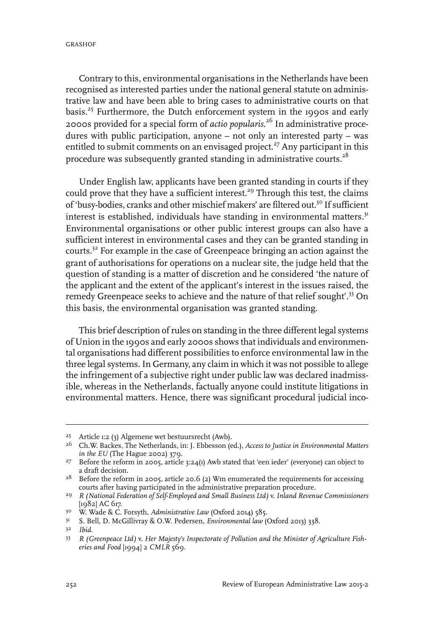Contrary to this, environmental organisations in the Netherlands have been recognised as interested parties under the national general statute on administrative law and have been able to bring cases to administrative courts on that basis.<sup>25</sup> Furthermore, the Dutch enforcement system in the 1990s and early 2000s provided for a special form of *actio popularis*. <sup>26</sup> In administrative procedures with public participation, anyone – not only an interested party – was entitled to submit comments on an envisaged project.<sup>27</sup> Any participant in this procedure was subsequently granted standing in administrative courts.<sup>28</sup>

Under English law, applicants have been granted standing in courts if they could prove that they have a sufficient interest.<sup>29</sup> Through this test, the claims of 'busy-bodies, cranks and other mischief makers' are filtered out.<sup>30</sup> If sufficient interest is established, individuals have standing in environmental matters.<sup>31</sup> Environmental organisations or other public interest groups can also have a sufficient interest in environmental cases and they can be granted standing in courts.<sup>32</sup> For example in the case of Greenpeace bringing an action against the grant of authorisations for operations on a nuclear site, the judge held that the question of standing is a matter of discretion and he considered 'the nature of the applicant and the extent of the applicant's interest in the issues raised, the remedy Greenpeace seeks to achieve and the nature of that relief sought'.<sup>33</sup> On this basis, the environmental organisation was granted standing.

This brief description of rules on standing in the three different legal systems of Union in the 1990s and early 2000s shows that individuals and environmental organisations had different possibilities to enforce environmental law in the three legal systems. In Germany, any claim in which it was not possible to allege the infringement of a subjective right under public law was declared inadmissible, whereas in the Netherlands, factually anyone could institute litigations in environmental matters. Hence, there was significant procedural judicial inco-

Article 1:2 (3) Algemene wet bestuursrecht (Awb). <sup>25</sup>

Ch.W. Backes, The Netherlands, in: J. Ebbesson (ed.), *Access to Justice in Environmental Matters* 26 *in the EU* (The Hague 2002) 379.

<sup>&</sup>lt;sup>27</sup> Before the reform in 2005, article  $3:24(1)$  Awb stated that 'een ieder' (everyone) can object to a draft decision.

<sup>&</sup>lt;sup>28</sup> Before the reform in 2005, article 20.6 (2) Wm enumerated the requirements for accessing courts after having participated in the administrative preparation procedure.

*R (National Federation of Self-Employed and Small Business Ltd)* v. *Inland Revenue Commissioners* 29 [1982] AC 617.

<sup>&</sup>lt;sup>30</sup> W. Wade & C. Forsyth, *Administrative Law* (Oxford 2014) 585.

<sup>&</sup>lt;sup>31</sup> S. Bell, D. McGillivray & O.W. Pedersen, *Environmental law* (Oxford 2013) 338.

*Ibid.* <sup>32</sup>

*R (Greenpeace Ltd)* v. *Her Majesty's Inspectorate of Pollution and the Minister of Agriculture Fish-*33 *eries and Food* [1994] 2 *CMLR* 569.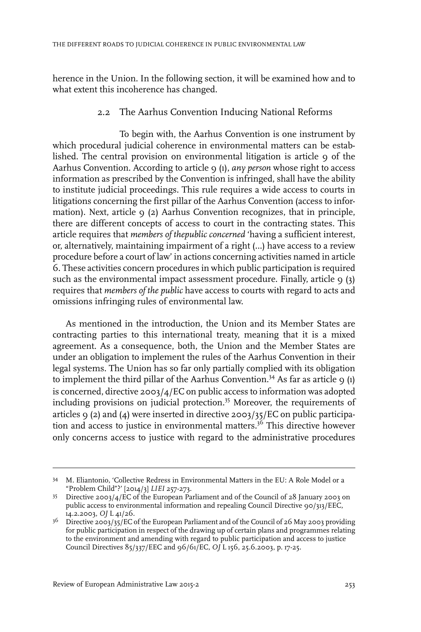herence in the Union. In the following section, it will be examined how and to what extent this incoherence has changed.

#### 2.2 The Aarhus Convention Inducing National Reforms

To begin with, the Aarhus Convention is one instrument by which procedural judicial coherence in environmental matters can be established. The central provision on environmental litigation is article 9 of the Aarhus Convention. According to article 9 (1), *any person* whose right to access information as prescribed by the Convention is infringed, shall have the ability to institute judicial proceedings. This rule requires a wide access to courts in litigations concerning the first pillar of the Aarhus Convention (access to information). Next, article 9 (2) Aarhus Convention recognizes, that in principle, there are different concepts of access to court in the contracting states. This article requires that *members of thepublic concerned* 'having a sufficient interest, or, alternatively, maintaining impairment of a right (…) have access to a review procedure before a court of law' in actions concerning activities named in article 6. These activities concern procedures in which public participation is required such as the environmental impact assessment procedure. Finally, article  $9$  (3) requires that *members of the public* have access to courts with regard to acts and omissions infringing rules of environmental law.

As mentioned in the introduction, the Union and its Member States are contracting parties to this international treaty, meaning that it is a mixed agreement. As a consequence, both, the Union and the Member States are under an obligation to implement the rules of the Aarhus Convention in their legal systems. The Union has so far only partially complied with its obligation to implement the third pillar of the Aarhus Convention.<sup>34</sup> As far as article 9 (1) is concerned, directive 2003/4/EC on public access to information was adopted including provisions on judicial protection.<sup>35</sup> Moreover, the requirements of articles 9 (2) and (4) were inserted in directive 2003/35/EC on public participation and access to justice in environmental matters.<sup>36</sup> This directive however only concerns access to justice with regard to the administrative procedures

M. Eliantonio, 'Collective Redress in Environmental Matters in the EU: A Role Model or a 34 "Problem Child"?' [2014/3] *LIEI* 257-273.

Directive 2003/4/EC of the European Parliament and of the Council of 28 January 2003 on 35 public access to environmental information and repealing Council Directive 90/313/EEC, 14.2.2003, *OJ* L 41/26.

 $^{36}$  Directive 2003/35/EC of the European Parliament and of the Council of 26 May 2003 providing for public participation in respect of the drawing up of certain plans and programmes relating to the environment and amending with regard to public participation and access to justice Council Directives 85/337/EEC and 96/61/EC, *OJ* L 156, 25.6.2003, p. 17-25.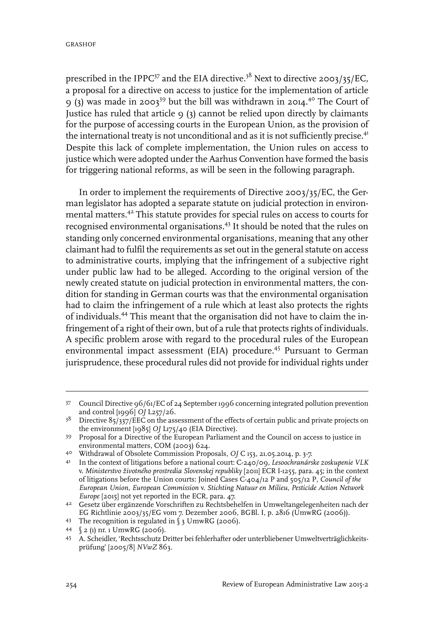prescribed in the IPPC<sup>37</sup> and the EIA directive.<sup>38</sup> Next to directive 2003/35/EC, a proposal for a directive on access to justice for the implementation of article 9 (3) was made in 2003<sup>39</sup> but the bill was withdrawn in 2014.<sup>40</sup> The Court of Justice has ruled that article  $9$  (3) cannot be relied upon directly by claimants for the purpose of accessing courts in the European Union, as the provision of the international treaty is not unconditional and as it is not sufficiently precise.<sup>41</sup> Despite this lack of complete implementation, the Union rules on access to justice which were adopted under the Aarhus Convention have formed the basis for triggering national reforms, as will be seen in the following paragraph.

In order to implement the requirements of Directive 2003/35/EC, the German legislator has adopted a separate statute on judicial protection in environmental matters.<sup>42</sup> This statute provides for special rules on access to courts for recognised environmental organisations.<sup>43</sup> It should be noted that the rules on standing only concerned environmental organisations, meaning that any other claimant had to fulfil the requirements as set out in the general statute on access to administrative courts, implying that the infringement of a subjective right under public law had to be alleged. According to the original version of the newly created statute on judicial protection in environmental matters, the condition for standing in German courts was that the environmental organisation had to claim the infringement of a rule which at least also protects the rights of individuals.<sup>44</sup> This meant that the organisation did not have to claim the infringement of a right of their own, but of a rule that protects rights of individuals. A specific problem arose with regard to the procedural rules of the European environmental impact assessment (EIA) procedure.<sup>45</sup> Pursuant to German jurisprudence, these procedural rules did not provide for individual rights under

<sup>37</sup> Council Directive 96/61/EC of 24 September 1996 concerning integrated pollution prevention and control [1996] *OJ* L257/26.

<sup>&</sup>lt;sup>38</sup> Directive  $85/337$ /EEC on the assessment of the effects of certain public and private projects on the environment [1985] *OJ* L175/40 (EIA Directive).

<sup>&</sup>lt;sup>39</sup> Proposal for a Directive of the European Parliament and the Council on access to justice in environmental matters, COM (2003) 624.

Withdrawal of Obsolete Commission Proposals, *OJ* C 153, 21.05.2014, p. 3-7. 40

In the context of litigations before a national court: C-240/09, *Lesoochranárske zoskupenie VLK* 41 v. *Ministerstvo životného prostredia Slovenskej republiky* [2011] ECR I-1255, para. 45; in the context of litigations before the Union courts: Joined Cases C-404/12 P and 505/12 P, *Council of the European Union, European Commission* v. *Stichting Natuur en Milieu, Pesticide Action Network Europe* [2015] not yet reported in the ECR, para. 47.

Gesetz über ergänzende Vorschriften zu Rechtsbehelfen in Umweltangelegenheiten nach der 42 EG Richtlinie 2003/35/EG vom 7. Dezember 2006, BGBl.I, p. 2816 (UmwRG (2006)).

<sup>43</sup> The recognition is regulated in § 3 UmwRG (2006).

<sup>§</sup> 2 (1) nr. 1 UmwRG (2006). <sup>44</sup>

<sup>45</sup> A. Scheidler, 'Rechtsschutz Dritter bei fehlerhafter oder unterbliebener Umweltverträglichkeitsprüfung' [2005/8] *NVwZ* 863.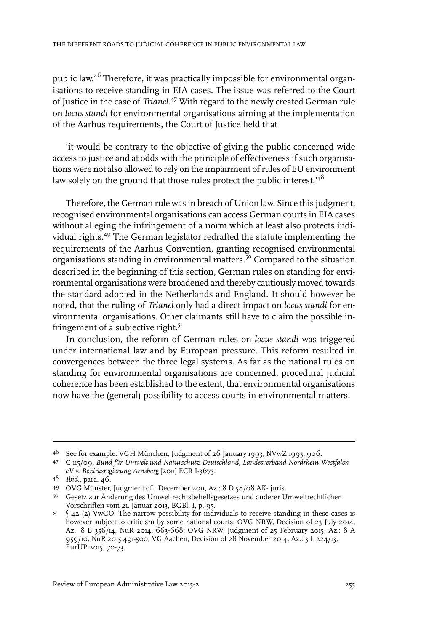public law. <sup>46</sup> Therefore, it was practically impossible for environmental organisations to receive standing in EIA cases. The issue was referred to the Court of Justice in the case of *Trianel*. <sup>47</sup> With regard to the newly created German rule on *locus standi* for environmental organisations aiming at the implementation of the Aarhus requirements, the Court of Justice held that

'it would be contrary to the objective of giving the public concerned wide access to justice and at odds with the principle of effectiveness if such organisations were not also allowed to rely on the impairment ofrules of EU environment law solely on the ground that those rules protect the public interest.<sup> $48$ </sup>

Therefore, the German rule was in breach of Union law. Since this judgment, recognised environmental organisations can access German courts in EIA cases without alleging the infringement of a norm which at least also protects individual rights.<sup>49</sup> The German legislator redrafted the statute implementing the requirements of the Aarhus Convention, granting recognised environmental organisations standing in environmental matters.<sup>50</sup> Compared to the situation described in the beginning of this section, German rules on standing for environmental organisations were broadened and thereby cautiously moved towards the standard adopted in the Netherlands and England. It should however be noted, that the ruling of *Trianel* only had a direct impact on *locus standi* for environmental organisations. Other claimants still have to claim the possible infringement of a subjective right.<sup>51</sup>

In conclusion, the reform of German rules on *locus standi* was triggered under international law and by European pressure. This reform resulted in convergences between the three legal systems. As far as the national rules on standing for environmental organisations are concerned, procedural judicial coherence has been established to the extent, that environmental organisations now have the (general) possibility to access courts in environmental matters.

See for example: VGH München, Judgment of 26 January 1993, NVwZ 1993, 906. <sup>46</sup>

C-115/09, *Bund für Umwelt und Naturschutz Deutschland, Landesverband Nordrhein-Westfalen* 47 *eV* v. *Bezirksregierung Arnsberg* [2011] ECR I-3673.

<sup>48</sup> *Ibid.*, para. 46.

OVG Münster, Judgment of 1 December 2011, Az.: 8 D 58/08.AK- juris. <sup>49</sup>

Gesetz zur Änderung des Umweltrechtsbehelfsgesetzes und anderer Umweltrechtlicher 50 Vorschriften vom 21. Januar 2013, BGBl.I, p. 95.

<sup>§</sup> 42 (2) VwGO. The narrow possibility for individuals to receive standing in these cases is however subject to criticism by some national courts: OVG NRW, Decision of 23 July 2014, 51 Az.: 8 B 356/14, NuR 2014, 663-668; OVG NRW, Judgment of 25 February 2015, Az.: 8 A 959/10, NuR 2015 491-500; VG Aachen, Decision of 28 November 2014, Az.: 3 L 224/13, EurUP 2015, 70-73.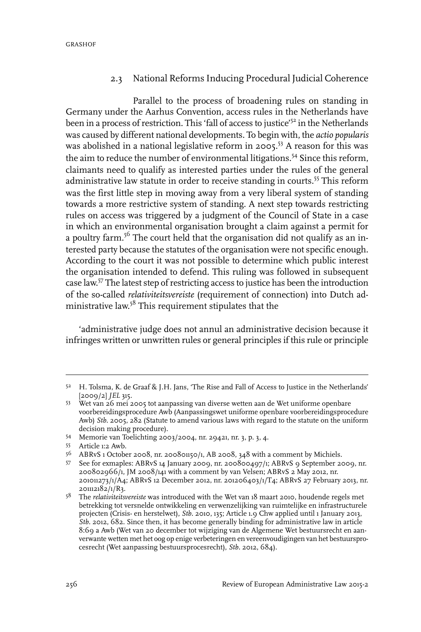#### 2.3 National Reforms Inducing Procedural Judicial Coherence

Parallel to the process of broadening rules on standing in Germany under the Aarhus Convention, access rules in the Netherlands have been in a process of restriction. This 'fall of access to justice'<sup>52</sup> in the Netherlands was caused by different national developments. To begin with, the *actio popularis* was abolished in a national legislative reform in 2005.<sup>53</sup> A reason for this was the aim to reduce the number of environmental litigations.<sup>54</sup> Since this reform, claimants need to qualify as interested parties under the rules of the general administrative law statute in order to receive standing in courts.<sup>55</sup> This reform was the first little step in moving away from a very liberal system of standing towards a more restrictive system of standing. A next step towards restricting rules on access was triggered by a judgment of the Council of State in a case in which an environmental organisation brought a claim against a permit for a poultry farm.<sup>56</sup> The court held that the organisation did not qualify as an interested party because the statutes of the organisation were not specific enough. According to the court it was not possible to determine which public interest the organisation intended to defend. This ruling was followed in subsequent case law.<sup>57</sup> The latest step of restricting access to justice has been the introduction of the so-called *relativiteitsvereiste* (requirement of connection) into Dutch administrative law. <sup>58</sup> This requirement stipulates that the

'administrative judge does not annul an administrative decision because it infringes written or unwritten rules or general principles if this rule or principle

H. Tolsma, K. de Graaf & J.H. Jans, 'The Rise and Fall of Access to Justice in the Netherlands' 52 [2009/2] *JEL* 315.

Wet van 26 mei 2005 tot aanpassing van diverse wetten aan de Wet uniforme openbare 53 voorbereidingsprocedure Awb (Aanpassingswet uniforme openbare voorbereidingsprocedure Awb) *Stb.* 2005, 282 (Statute to amend various laws with regard to the statute on the uniform decision making procedure).

<sup>54</sup> Memorie van Toelichting 2003/2004, nr. 29421, nr. 3, p. 3, 4.

Article 1:2 Awb. <sup>55</sup>

<sup>56</sup> ABRvS 1 October 2008, nr. 200801150/1, AB 2008, 348 with a comment by Michiels.

See for exmaples: ABRvS 14 January 2009, nr. 200800497/1; ABRvS 9 September 2009, nr. 57 200802966 $\overline{1}$ , JM 2008/141 with a comment by van Velsen; ABRvS 2 May 2012, nr. 201011273/1/A4; ABRvS 12 December 2012, nr. 201206403/1/T4; ABRvS 27 February 2013, nr. 201112182/1/R3.

The *relativiteitsvereiste* was introduced with the Wet van 18 maart 2010, houdende regels met 58 betrekking tot versnelde ontwikkeling en verwenzelijking van ruimtelijke en infrastructurele projecten (Crisis- en herstelwet), *Stb.* 2010, 135; Article 1.9 Chw applied until 1 January 2013, *Stb.* 2012, 682. Since then, it has become generally binding for administrative law in article 8:69 a Awb (Wet van 20 december tot wijziging van de Algemene Wet bestuursrecht en aanverwante wetten met het oog op enige verbeteringen en vereenvoudigingen van het bestuursprocesrecht (Wet aanpassing bestuursprocesrecht), *Stb.* 2012, 684).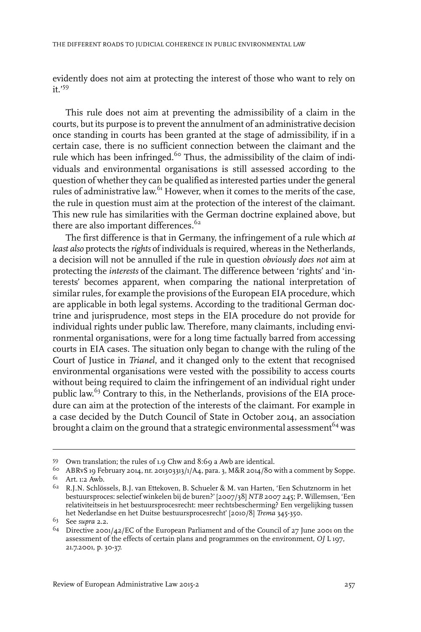evidently does not aim at protecting the interest of those who want to rely on it.'<sup>59</sup>

This rule does not aim at preventing the admissibility of a claim in the courts, but its purpose is to prevent the annulment of an administrative decision once standing in courts has been granted at the stage of admissibility, if in a certain case, there is no sufficient connection between the claimant and the rule which has been infringed.<sup>60</sup> Thus, the admissibility of the claim of individuals and environmental organisations is still assessed according to the question of whether they can be qualified as interested parties under the general rules of administrative law.<sup>61</sup> However, when it comes to the merits of the case, the rule in question must aim at the protection of the interest of the claimant. This new rule has similarities with the German doctrine explained above, but there are also important differences.<sup>62</sup>

The first difference is that in Germany, the infringement of a rule which *at least also* protects the *rights* of individuals is required, whereas in the Netherlands, a decision will not be annulled if the rule in question *obviously does not* aim at protecting the *interests* of the claimant. The difference between 'rights' and 'interests' becomes apparent, when comparing the national interpretation of similar rules, for example the provisions of the European EIA procedure, which are applicable in both legal systems. According to the traditional German doctrine and jurisprudence, most steps in the EIA procedure do not provide for individual rights under public law. Therefore, many claimants, including environmental organisations, were for a long time factually barred from accessing courts in EIA cases. The situation only began to change with the ruling of the Court of Justice in *Trianel*, and it changed only to the extent that recognised environmental organisations were vested with the possibility to access courts without being required to claim the infringement of an individual right under public law.<sup>63</sup> Contrary to this, in the Netherlands, provisions of the EIA procedure can aim at the protection of the interests of the claimant. For example in a case decided by the Dutch Council of State in October 2014, an association brought a claim on the ground that a strategic environmental assessment<sup>64</sup> was

Own translation; the rules of 1.9 Chw and 8:69 a Awb are identical. <sup>59</sup>

 $60$  ABRvS 19 February 2014, nr. 201303313/1/A4, para. 3, M&R 2014/80 with a comment by Soppe. <sup>61</sup> Art. 1:2 Awb.

 $62$  R.J.N. Schlössels, B.J. van Ettekoven, B. Schueler & M. van Harten, 'Een Schutznorm in het bestuursproces: selectief winkelen bij de buren?' [2007/38] *NTB* 2007 245; P. Willemsen, 'Een relativiteitseis in het bestuursprocesrecht: meer rechtsbescherming? Een vergelijking tussen het Nederlandse en het Duitse bestuursprocesrecht' [2010/8] *Trema* 345-350.

<sup>63</sup> See *supra* 2.2.

 $^{64}$  Directive 2001/42/EC of the European Parliament and of the Council of 27 June 2001 on the assessment of the effects of certain plans and programmes on the environment, *OJ* L 197, 21.7.2001, p. 30-37.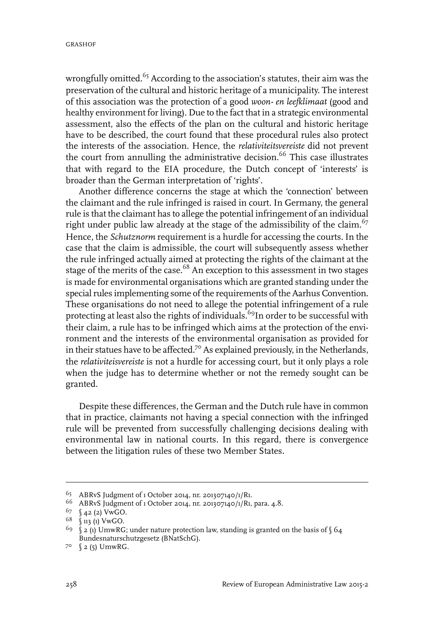wrongfully omitted.<sup>65</sup> According to the association's statutes, their aim was the preservation of the cultural and historic heritage of a municipality. The interest of this association was the protection of a good *woon- en leefklimaat* (good and healthy environment for living). Due to the fact that in a strategic environmental assessment, also the effects of the plan on the cultural and historic heritage have to be described, the court found that these procedural rules also protect the interests of the association. Hence, the *relativiteitsvereiste* did not prevent the court from annulling the administrative decision.<sup>66</sup> This case illustrates that with regard to the EIA procedure, the Dutch concept of 'interests' is broader than the German interpretation of 'rights'.

Another difference concerns the stage at which the 'connection' between the claimant and the rule infringed is raised in court. In Germany, the general rule is that the claimant has to allege the potential infringement of an individual right under public law already at the stage of the admissibility of the claim.<sup>67</sup> Hence, the *Schutznorm* requirement is a hurdle for accessing the courts. In the case that the claim is admissible, the court will subsequently assess whether the rule infringed actually aimed at protecting the rights of the claimant at the stage of the merits of the case.<sup>68</sup> An exception to this assessment in two stages is made for environmental organisations which are granted standing under the special rules implementing some of the requirements of the Aarhus Convention. These organisations do not need to allege the potential infringement of a rule protecting at least also the rights of individuals.<sup>69</sup>In order to be successful with their claim, a rule has to be infringed which aims at the protection of the environment and the interests of the environmental organisation as provided for in their statues have to be affected.<sup>70</sup> As explained previously, in the Netherlands, the *relativiteisvereiste* is not a hurdle for accessing court, but it only plays a role when the judge has to determine whether or not the remedy sought can be granted.

Despite these differences, the German and the Dutch rule have in common that in practice, claimants not having a special connection with the infringed rule will be prevented from successfully challenging decisions dealing with environmental law in national courts. In this regard, there is convergence between the litigation rules of these two Member States.

ABRvS Judgment of 1 October 2014, nr. 201307140/1/R1. <sup>65</sup>

<sup>66</sup> ABRvS Judgment of 1 October 2014, nr. 201307140/1/R1, para. 4.8.

 $67 \quad \text{(42 (2) VwGO.}$ 

 $68$  (113 (1) VwGO.

<sup>&</sup>lt;sup>69</sup>  $\int$  2 (1) UmwRG; under nature protection law, standing is granted on the basis of  $\int$  64 Bundesnaturschutzgesetz (BNatSchG).

 $7°$  (2(5) UmwRG.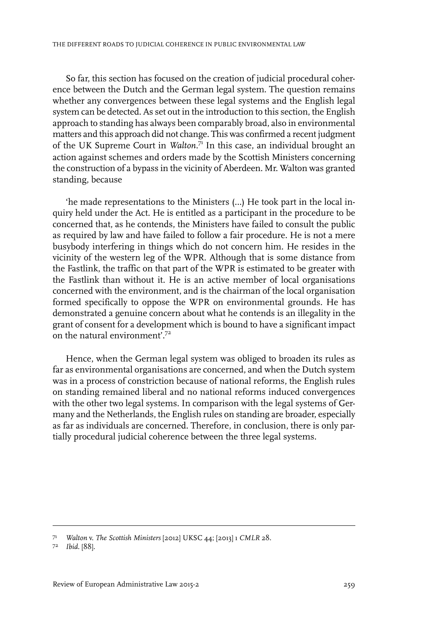So far, this section has focused on the creation of judicial procedural coherence between the Dutch and the German legal system. The question remains whether any convergences between these legal systems and the English legal system can be detected. As set out in the introduction to this section, the English approach to standing has always been comparably broad, also in environmental matters and this approach did not change. This was confirmed a recent judgment of the UK Supreme Court in *Walton*. <sup>71</sup> In this case, an individual brought an action against schemes and orders made by the Scottish Ministers concerning the construction of a bypass in the vicinity of Aberdeen. Mr. Walton was granted standing, because

'he made representations to the Ministers (…) He took part in the local inquiry held under the Act. He is entitled as a participant in the procedure to be concerned that, as he contends, the Ministers have failed to consult the public as required by law and have failed to follow a fair procedure. He is not a mere busybody interfering in things which do not concern him. He resides in the vicinity of the western leg of the WPR. Although that is some distance from the Fastlink, the traffic on that part of the WPR is estimated to be greater with the Fastlink than without it. He is an active member of local organisations concerned with the environment, and is the chairman of the local organisation formed specifically to oppose the WPR on environmental grounds. He has demonstrated a genuine concern about what he contends is an illegality in the grant of consent for a development which is bound to have a significant impact on the natural environment'.<sup>72</sup>

Hence, when the German legal system was obliged to broaden its rules as far as environmental organisations are concerned, and when the Dutch system was in a process of constriction because of national reforms, the English rules on standing remained liberal and no national reforms induced convergences with the other two legal systems. In comparison with the legal systems of Germany and the Netherlands, the English rules on standing are broader, especially as far as individuals are concerned. Therefore, in conclusion, there is only partially procedural judicial coherence between the three legal systems.

*Walton* v. *The Scottish Ministers* [2012] UKSC 44; [2013] 1 *CMLR* 28. <sup>71</sup>

*Ibid.* [88]. <sup>72</sup>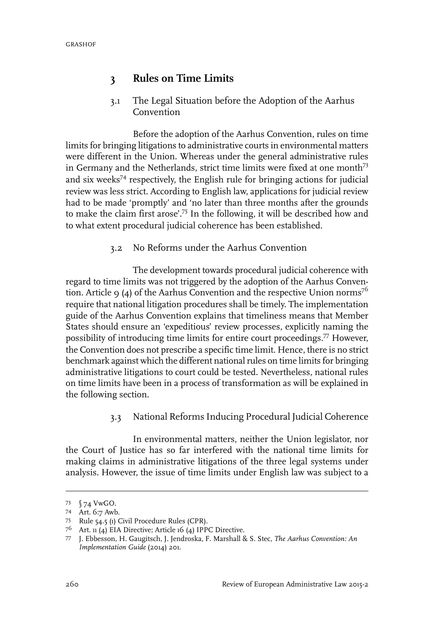### **3 Rules on Time Limits**

3.1 The Legal Situation before the Adoption of the Aarhus Convention

Before the adoption of the Aarhus Convention, rules on time limits for bringing litigations to administrative courts in environmental matters were different in the Union. Whereas under the general administrative rules in Germany and the Netherlands, strict time limits were fixed at one month<sup>73</sup> and six weeks<sup>74</sup> respectively, the English rule for bringing actions for judicial review was less strict. According to English law, applications for judicial review had to be made 'promptly' and 'no later than three months after the grounds to make the claim first arose'.<sup>75</sup> In the following, it will be described how and to what extent procedural judicial coherence has been established.

#### 3.2 No Reforms under the Aarhus Convention

The development towards procedural judicial coherence with regard to time limits was not triggered by the adoption of the Aarhus Convention. Article 9 (4) of the Aarhus Convention and the respective Union norms<sup>76</sup> require that national litigation procedures shall be timely. The implementation guide of the Aarhus Convention explains that timeliness means that Member States should ensure an 'expeditious' review processes, explicitly naming the possibility of introducing time limits for entire court proceedings.<sup>77</sup> However, the Convention does not prescribe a specific time limit. Hence, there is no strict benchmark against which the different national rules on time limits for bringing administrative litigations to court could be tested. Nevertheless, national rules on time limits have been in a process of transformation as will be explained in the following section.

3.3 National Reforms Inducing Procedural Judicial Coherence

In environmental matters, neither the Union legislator, nor the Court of Justice has so far interfered with the national time limits for making claims in administrative litigations of the three legal systems under analysis. However, the issue of time limits under English law was subject to a

<sup>§</sup> 74 VwGO. <sup>73</sup>

Art. 6:7 Awb. <sup>74</sup>

<sup>75</sup> Rule 54.5 (1) Civil Procedure Rules (CPR).

<sup>76</sup> Art. 11 (4) EIA Directive; Article 16 (4) IPPC Directive.

J. Ebbesson, H. Gaugitsch, J. Jendroska, F. Marshall & S. Stec, *The Aarhus Convention: An* 77 *Implementation Guide* (2014) 201.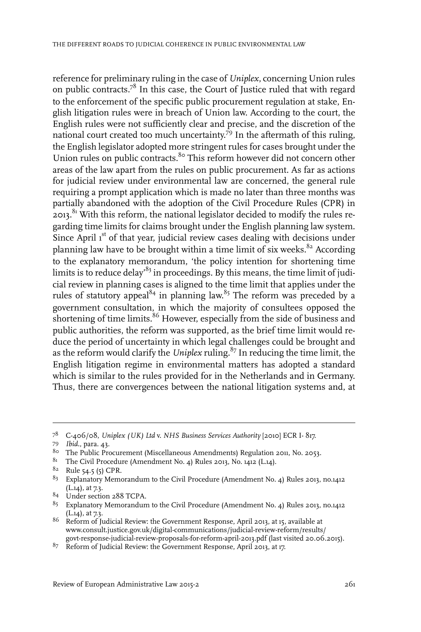reference for preliminary ruling in the case of *Uniplex*, concerning Union rules on public contracts.<sup>78</sup> In this case, the Court of Justice ruled that with regard to the enforcement of the specific public procurement regulation at stake, English litigation rules were in breach of Union law. According to the court, the English rules were not sufficiently clear and precise, and the discretion of the national court created too much uncertainty. <sup>79</sup> In the aftermath of this ruling, the English legislator adopted more stringent rules for cases brought under the Union rules on public contracts.<sup>8</sup> This reform however did not concern other areas of the law apart from the rules on public procurement. As far as actions for judicial review under environmental law are concerned, the general rule requiring a prompt application which is made no later than three months was partially abandoned with the adoption of the Civil Procedure Rules (CPR) in  $2013$ .<sup>81</sup> With this reform, the national legislator decided to modify the rules regarding time limits for claims brought under the English planning law system. Since April 1<sup>st</sup> of that year, judicial review cases dealing with decisions under planning law have to be brought within a time limit of six weeks. $82$  According to the explanatory memorandum, 'the policy intention for shortening time limits is to reduce delay'<sup>83</sup> in proceedings. By this means, the time limit of judicial review in planning cases is aligned to the time limit that applies under the rules of statutory appeal<sup>84</sup> in planning law.<sup>85</sup> The reform was preceded by a government consultation, in which the majority of consultees opposed the shortening of time limits.<sup>86</sup> However, especially from the side of business and public authorities, the reform was supported, as the brief time limit would reduce the period of uncertainty in which legal challenges could be brought and as the reform would clarify the *Uniplex* ruling.<sup>87</sup> In reducing the time limit, the English litigation regime in environmental matters has adopted a standard which is similar to the rules provided for in the Netherlands and in Germany. Thus, there are convergences between the national litigation systems and, at

C-406/08, *Uniplex (UK) Ltd* v. *NHS Business Services Authority* [2010] ECR I- 817. 78

<sup>79</sup> *Ibid.*, para. 43.

<sup>80</sup> The Public Procurement (Miscellaneous Amendments) Regulation 2011, No. 2053.

 $81$  The Civil Procedure (Amendment No. 4) Rules 2013, No. 1412 (L.14).

 $82$  Rule 54.5 (5) CPR.

 $83$  Explanatory Memorandum to the Civil Procedure (Amendment No. 4) Rules 2013, no.1412  $(L.14)$ , at 7.3.

<sup>84</sup> Under section 288 TCPA.

 $85$  Explanatory Memorandum to the Civil Procedure (Amendment No. 4) Rules 2013, no.1412 (L.14), at 7.3.

 $^{86}$  Reform of Judicial Review: the Government Response, April 2013, at 15, available at www.consult.justice.gov.uk/digital-communications/judicial-review-reform/results/ govt-response-judicial-review-proposals-for-reform-april-2013.pdf (last visited 20.06.2015).

 $87$  Reform of Judicial Review: the Government Response, April 2013, at 17.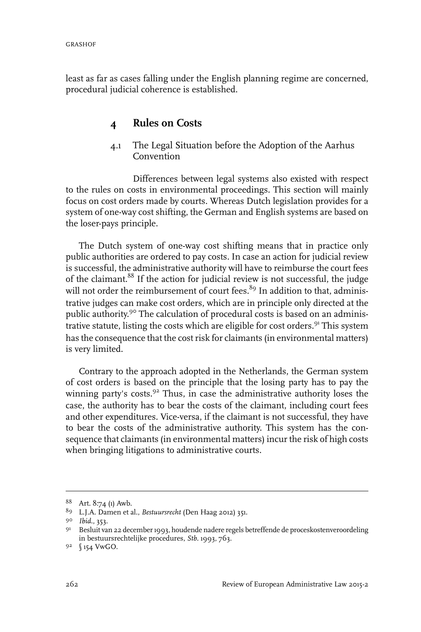least as far as cases falling under the English planning regime are concerned, procedural judicial coherence is established.

## **4 Rules on Costs**

4.1 The Legal Situation before the Adoption of the Aarhus Convention

Differences between legal systems also existed with respect to the rules on costs in environmental proceedings. This section will mainly focus on cost orders made by courts. Whereas Dutch legislation provides for a system of one-way cost shifting, the German and English systems are based on the loser-pays principle.

The Dutch system of one-way cost shifting means that in practice only public authorities are ordered to pay costs. In case an action for judicial review is successful, the administrative authority will have to reimburse the court fees of the claimant.<sup>88</sup> If the action for judicial review is not successful, the judge will not order the reimbursement of court fees. $89$  In addition to that, administrative judges can make cost orders, which are in principle only directed at the public authority.<sup>90</sup> The calculation of procedural costs is based on an administrative statute, listing the costs which are eligible for cost orders.<sup>91</sup> This system has the consequence that the cost risk for claimants (in environmental matters) is very limited.

Contrary to the approach adopted in the Netherlands, the German system of cost orders is based on the principle that the losing party has to pay the winning party's costs. $92$  Thus, in case the administrative authority loses the case, the authority has to bear the costs of the claimant, including court fees and other expenditures. Vice-versa, if the claimant is not successful, they have to bear the costs of the administrative authority. This system has the consequence that claimants (in environmental matters) incur the risk of high costs when bringing litigations to administrative courts.

<sup>88</sup> Art. 8:74 (1) Awb.

<sup>89</sup> L.J.A. Damen et al., *Bestuursrecht* (Den Haag 2012) 351.

*Ibid.*, 353. <sup>90</sup>

<sup>91</sup> Besluit van 22 december 1993, houdende nadere regels betreffende de proceskostenveroordeling in bestuursrechtelijke procedures, *Stb.* 1993, 763.

<sup>9&</sup>lt;sup>2</sup> \ 154 VwGO.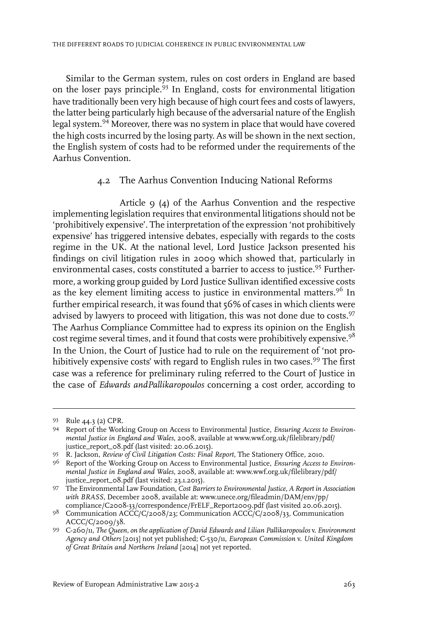Similar to the German system, rules on cost orders in England are based on the loser pays principle.<sup>93</sup> In England, costs for environmental litigation have traditionally been very high because of high court fees and costs of lawyers, the latter being particularly high because of the adversarial nature of the English legal system.<sup>94</sup> Moreover, there was no system in place that would have covered the high costs incurred by the losing party. As will be shown in the next section, the English system of costs had to be reformed under the requirements of the Aarhus Convention.

#### 4.2 The Aarhus Convention Inducing National Reforms

Article  $\varphi$  ( $\varphi$ ) of the Aarhus Convention and the respective implementing legislation requires that environmental litigations should not be 'prohibitively expensive'. The interpretation of the expression 'not prohibitively expensive' has triggered intensive debates, especially with regards to the costs regime in the UK. At the national level, Lord Justice Jackson presented his findings on civil litigation rules in 2009 which showed that, particularly in environmental cases, costs constituted a barrier to access to justice.<sup>95</sup> Furthermore, a working group guided by Lord Justice Sullivan identified excessive costs as the key element limiting access to justice in environmental matters.<sup>96</sup> In further empirical research, it was found that 56% of cases in which clients were advised by lawyers to proceed with litigation, this was not done due to costs.<sup>97</sup> The Aarhus Compliance Committee had to express its opinion on the English cost regime several times, and it found that costs were prohibitively expensive.<sup>98</sup> In the Union, the Court of Justice had to rule on the requirement of 'not prohibitively expensive costs' with regard to English rules in two cases.<sup>99</sup> The first case was a reference for preliminary ruling referred to the Court of Justice in the case of *Edwards andPallikaropoulos* concerning a cost order, according to

<sup>93</sup> Rule 44.3 (2) CPR.

Report of the Working Group on Access to Environmental Justice, *Ensuring Access to Environ-*94 *mental Justice in England and Wales*, 2008, available at www.wwf.org.uk/filelibrary/pdf/ justice\_report\_08.pdf (last visited: 20.06.2015).

R. Jackson, *Review of Civil Litigation Costs: Final Report*, The Stationery Office, 2010. <sup>95</sup>

Report of the Working Group on Access to Environmental Justice, *Ensuring Access to Environ-*96 *mental Justice in England and Wales*, 2008, available at: www.wwf.org.uk/filelibrary/pdf/ justice\_report\_08.pdf (last visited: 23.1.2015).

The Environmental Law Foundation, *Cost Barriers to EnvironmentalJustice, A Report in Association* 97 *with BRASS*, December 2008, available at: www.unece.org/fileadmin/DAM/env/pp/ compliance/C2008-33/correspondence/FrELF\_Report2009.pdf (last visited 20.06.2015).

<sup>98</sup> Communication ACCC/C/2008/23; Communication ACCC/C/2008/33, Communication ACCC/C/2009/38.

C-260/11, *The Queen, on the application of David Edwards and Lilian Pallikaropoulos* v. *Environment* 99 *Agency and Others* [2013] not yet published; C-530/11, *European Commission* v. *United Kingdom of Great Britain and Northern Ireland* [2014] not yet reported.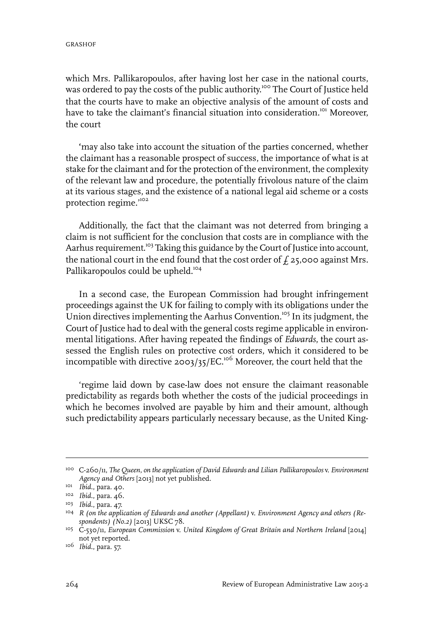which Mrs. Pallikaropoulos, after having lost her case in the national courts, was ordered to pay the costs of the public authority.<sup>100</sup> The Court of Justice held that the courts have to make an objective analysis of the amount of costs and have to take the claimant's financial situation into consideration.<sup>101</sup> Moreover, the court

**'**may also take into account the situation of the parties concerned, whether the claimant has a reasonable prospect of success, the importance of what is at stake for the claimant and for the protection of the environment, the complexity of the relevant law and procedure, the potentially frivolous nature of the claim at its various stages, and the existence of a national legal aid scheme or a costs protection regime."<sup>102</sup>

Additionally, the fact that the claimant was not deterred from bringing a claim is not sufficient for the conclusion that costs are in compliance with the Aarhus requirement.<sup>103</sup> Taking this guidance by the Court of Justice into account, the national court in the end found that the cost order of  $f_1$  25,000 against Mrs. Pallikaropoulos could be upheld.<sup>104</sup>

In a second case, the European Commission had brought infringement proceedings against the UK for failing to comply with its obligations under the Union directives implementing the Aarhus Convention.<sup>105</sup> In its judgment, the Court of Justice had to deal with the general costs regime applicable in environmental litigations. After having repeated the findings of *Edwards*, the court assessed the English rules on protective cost orders, which it considered to be incompatible with directive 2003/35/EC.<sup>106</sup> Moreover, the court held that the

'regime laid down by case-law does not ensure the claimant reasonable predictability as regards both whether the costs of the judicial proceedings in which he becomes involved are payable by him and their amount, although such predictability appears particularly necessary because, as the United King-

C-260/11, *The Queen, on the application of David Edwards and Lilian Pallikaropoulos* v. *Environment* 100 *Agency and Others* [2013] not yet published.

<sup>&</sup>lt;sup>101</sup> *Ibid.*, para. 40.

<sup>&</sup>lt;sup>102</sup> *Ibid.*, para. 46.

*Ibid.*, para. 47. 103

*R (on the application of Edwards and another (Appellant)* v. *Environment Agency and others (Re-*104 *spondents) (No.2)* [2013] UKSC 78.

C-530/11, *European Commission* v. *United Kingdom of Great Britain and Northern Ireland* [2014] 105 not yet reported.

*Ibid.*, para. 57. 106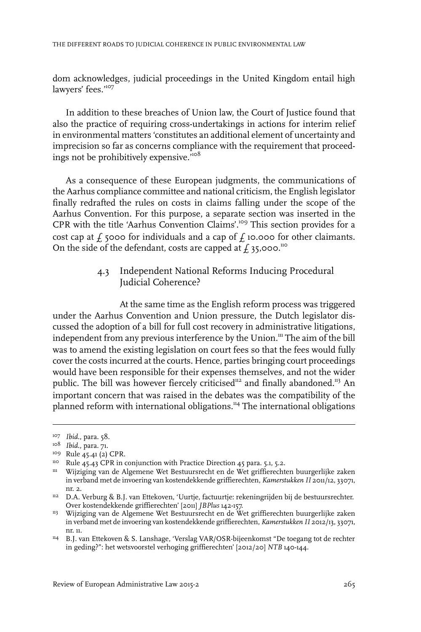dom acknowledges, judicial proceedings in the United Kingdom entail high lawyers' fees."107

In addition to these breaches of Union law, the Court of Justice found that also the practice of requiring cross-undertakings in actions for interim relief in environmental matters 'constitutes an additional element of uncertainty and imprecision so far as concerns compliance with the requirement that proceedings not be prohibitively expensive.<sup>108</sup>

As a consequence of these European judgments, the communications of the Aarhus compliance committee and national criticism, the English legislator finally redrafted the rules on costs in claims falling under the scope of the Aarhus Convention. For this purpose, a separate section was inserted in the CPR with the title 'Aarhus Convention Claims'.<sup>109</sup> This section provides for a cost cap at  $\ddot{f}$  5000 for individuals and a cap of  $\ddot{f}$  10.000 for other claimants. On the side of the defendant, costs are capped at  $\ddot{f}$  35,000.<sup>110</sup>

#### 4.3 Independent National Reforms Inducing Procedural Judicial Coherence?

At the same time as the English reform process was triggered under the Aarhus Convention and Union pressure, the Dutch legislator discussed the adoption of a bill for full cost recovery in administrative litigations, independent from any previous interference by the Union.<sup>111</sup> The aim of the bill was to amend the existing legislation on court fees so that the fees would fully cover the costs incurred at the courts. Hence, parties bringing court proceedings would have been responsible for their expenses themselves, and not the wider public. The bill was however fiercely criticised<sup>112</sup> and finally abandoned.<sup>113</sup> An important concern that was raised in the debates was the compatibility of the planned reform with international obligations.<sup>114</sup> The international obligations

<sup>&</sup>lt;sup>107</sup> *Ibid.*, para. 58.

<sup>&</sup>lt;sup>108</sup> *Ibid.*, para. 71.

<sup>109</sup> Rule 45.41 (2) CPR.

<sup>&</sup>lt;sup>110</sup> Rule 45.43 CPR in conjunction with Practice Direction 45 para. 5.1, 5.2.

Wijziging van de Algemene Wet Bestuursrecht en de Wet griffierechten buurgerlijke zaken 111 in verband met de invoering van kostendekkende griffierechten, *Kamerstukken II* 2011/12, 33071, nr. 2.

<sup>&</sup>lt;sup>112</sup> D.A. Verburg & B.J. van Ettekoven, 'Uurtje, factuurtje: rekeningrijden bij de bestuursrechter. Over kostendekkende griffierechten' [2011] *JBPlus* 142-157.

<sup>&</sup>lt;sup>113</sup> Wijziging van de Algemene Wet Bestuursrecht en de Wet griffierechten buurgerlijke zaken in verband met de invoering van kostendekkende griffierechten, *Kamerstukken II* 2012/13, 33071, nr. 11.

<sup>&</sup>lt;sup>114</sup> B.J. van Ettekoven & S. Lanshage, 'Verslag VAR/OSR-bijeenkomst "De toegang tot de rechter in geding?": het wetsvoorstel verhoging griffierechten' [2012/20] *NTB* 140-144.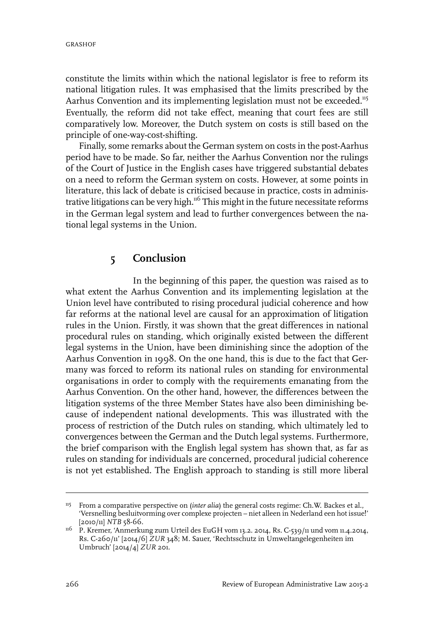constitute the limits within which the national legislator is free to reform its national litigation rules. It was emphasised that the limits prescribed by the Aarhus Convention and its implementing legislation must not be exceeded.<sup>115</sup> Eventually, the reform did not take effect, meaning that court fees are still comparatively low. Moreover, the Dutch system on costs is still based on the principle of one-way-cost-shifting.

Finally, some remarks about the German system on costs in the post-Aarhus period have to be made. So far, neither the Aarhus Convention nor the rulings of the Court of Justice in the English cases have triggered substantial debates on a need to reform the German system on costs. However, at some points in literature, this lack of debate is criticised because in practice, costs in administrative litigations can be very high.<sup>116</sup> This might in the future necessitate reforms in the German legal system and lead to further convergences between the national legal systems in the Union.

### **5 Conclusion**

In the beginning of this paper, the question was raised as to what extent the Aarhus Convention and its implementing legislation at the Union level have contributed to rising procedural judicial coherence and how far reforms at the national level are causal for an approximation of litigation rules in the Union. Firstly, it was shown that the great differences in national procedural rules on standing, which originally existed between the different legal systems in the Union, have been diminishing since the adoption of the Aarhus Convention in 1998. On the one hand, this is due to the fact that Germany was forced to reform its national rules on standing for environmental organisations in order to comply with the requirements emanating from the Aarhus Convention. On the other hand, however, the differences between the litigation systems of the three Member States have also been diminishing because of independent national developments. This was illustrated with the process of restriction of the Dutch rules on standing, which ultimately led to convergences between the German and the Dutch legal systems. Furthermore, the brief comparison with the English legal system has shown that, as far as rules on standing for individuals are concerned, procedural judicial coherence is not yet established. The English approach to standing is still more liberal

<sup>&</sup>lt;sup>115</sup> From a comparative perspective on (inter alia) the general costs regime: Ch.W. Backes et al., 'Versnelling besluitvorming over complexe projecten – niet alleen in Nederland een hot issue!' [2010/11] *NTB* 58-66.

<sup>&</sup>lt;sup>116</sup> P. Kremer, 'Anmerkung zum Urteil des EuGH vom 13.2. 2014, Rs. C-539/11 und vom 11.4.2014, Rs. C-260/11' [2014/6] *ZUR* 348; M. Sauer, 'Rechtsschutz in Umweltangelegenheiten im Umbruch' [2014/4] *ZUR* 201.